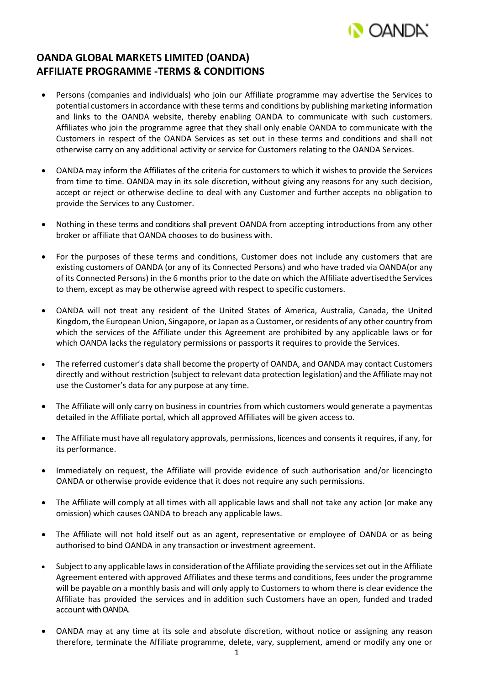

## **OANDA GLOBAL MARKETS LIMITED (OANDA) AFFILIATE PROGRAMME -TERMS & CONDITIONS**

- Persons (companies and individuals) who join our Affiliate programme may advertise the Services to potential customers in accordance with these terms and conditions by publishing marketing information and links to the OANDA website, thereby enabling OANDA to communicate with such customers. Affiliates who join the programme agree that they shall only enable OANDA to communicate with the Customers in respect of the OANDA Services as set out in these terms and conditions and shall not otherwise carry on any additional activity or service for Customers relating to the OANDA Services.
- OANDA may inform the Affiliates of the criteria for customers to which it wishes to provide the Services from time to time. OANDA may in its sole discretion, without giving any reasons for any such decision, accept or reject or otherwise decline to deal with any Customer and further accepts no obligation to provide the Services to any Customer.
- Nothing in these terms and conditions shall prevent OANDA from accepting introductions from any other broker or affiliate that OANDA chooses to do business with.
- For the purposes of these terms and conditions, Customer does not include any customers that are existing customers of OANDA (or any of its Connected Persons) and who have traded via OANDA(or any of its Connected Persons) in the 6 months prior to the date on which the Affiliate advertisedthe Services to them, except as may be otherwise agreed with respect to specific customers.
- OANDA will not treat any resident of the United States of America, Australia, Canada, the United Kingdom, the European Union, Singapore, or Japan as a Customer, or residents of any other country from which the services of the Affiliate under this Agreement are prohibited by any applicable laws or for which OANDA lacks the regulatory permissions or passports it requires to provide the Services.
- The referred customer's data shall become the property of OANDA, and OANDA may contact Customers directly and without restriction (subject to relevant data protection legislation) and the Affiliate may not use the Customer's data for any purpose at any time.
- The Affiliate will only carry on business in countries from which customers would generate a paymentas detailed in the Affiliate portal, which all approved Affiliates will be given access to.
- The Affiliate must have all regulatory approvals, permissions, licences and consents it requires, if any, for its performance.
- Immediately on request, the Affiliate will provide evidence of such authorisation and/or licencingto OANDA or otherwise provide evidence that it does not require any such permissions.
- The Affiliate will comply at all times with all applicable laws and shall not take any action (or make any omission) which causes OANDA to breach any applicable laws.
- The Affiliate will not hold itself out as an agent, representative or employee of OANDA or as being authorised to bind OANDA in any transaction or investment agreement.
- Subject to any applicable laws in consideration of the Affiliate providing the services set out in the Affiliate Agreement entered with approved Affiliates and these terms and conditions, fees under the programme will be payable on a monthly basis and will only apply to Customers to whom there is clear evidence the Affiliate has provided the services and in addition such Customers have an open, funded and traded account with OANDA.
- OANDA may at any time at its sole and absolute discretion, without notice or assigning any reason therefore, terminate the Affiliate programme, delete, vary, supplement, amend or modify any one or